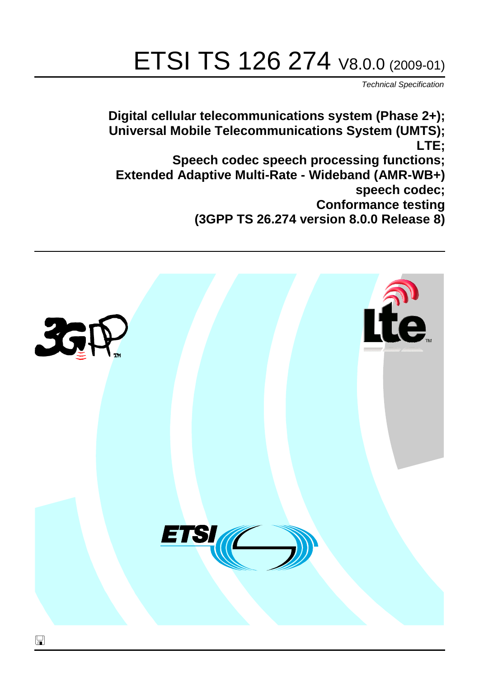# ETSI TS 126 274 V8.0.0 (2009-01)

*Technical Specification*

**Digital cellular telecommunications system (Phase 2+); Universal Mobile Telecommunications System (UMTS); LTE; Speech codec speech processing functions; Extended Adaptive Multi-Rate - Wideband (AMR-WB+) speech codec; Conformance testing (3GPP TS 26.274 version 8.0.0 Release 8)**

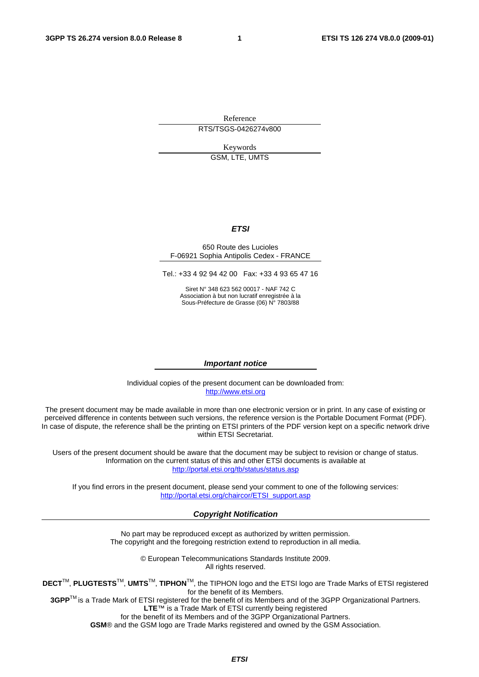Reference RTS/TSGS-0426274v800

Keywords

GSM, LTE, UMTS

#### *ETSI*

#### 650 Route des Lucioles F-06921 Sophia Antipolis Cedex - FRANCE

Tel.: +33 4 92 94 42 00 Fax: +33 4 93 65 47 16

Siret N° 348 623 562 00017 - NAF 742 C Association à but non lucratif enregistrée à la Sous-Préfecture de Grasse (06) N° 7803/88

#### *Important notice*

Individual copies of the present document can be downloaded from: [http://www.etsi.org](http://www.etsi.org/)

The present document may be made available in more than one electronic version or in print. In any case of existing or perceived difference in contents between such versions, the reference version is the Portable Document Format (PDF). In case of dispute, the reference shall be the printing on ETSI printers of the PDF version kept on a specific network drive within ETSI Secretariat.

Users of the present document should be aware that the document may be subject to revision or change of status. Information on the current status of this and other ETSI documents is available at <http://portal.etsi.org/tb/status/status.asp>

If you find errors in the present document, please send your comment to one of the following services: [http://portal.etsi.org/chaircor/ETSI\\_support.asp](http://portal.etsi.org/chaircor/ETSI_support.asp)

#### *Copyright Notification*

No part may be reproduced except as authorized by written permission. The copyright and the foregoing restriction extend to reproduction in all media.

> © European Telecommunications Standards Institute 2009. All rights reserved.

**DECT**TM, **PLUGTESTS**TM, **UMTS**TM, **TIPHON**TM, the TIPHON logo and the ETSI logo are Trade Marks of ETSI registered for the benefit of its Members.

**3GPP**TM is a Trade Mark of ETSI registered for the benefit of its Members and of the 3GPP Organizational Partners. **LTE**™ is a Trade Mark of ETSI currently being registered

for the benefit of its Members and of the 3GPP Organizational Partners.

**GSM**® and the GSM logo are Trade Marks registered and owned by the GSM Association.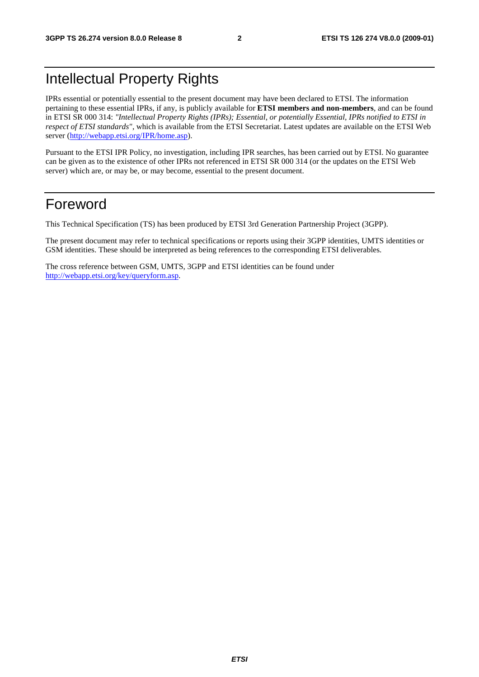## Intellectual Property Rights

IPRs essential or potentially essential to the present document may have been declared to ETSI. The information pertaining to these essential IPRs, if any, is publicly available for **ETSI members and non-members**, and can be found in ETSI SR 000 314: *"Intellectual Property Rights (IPRs); Essential, or potentially Essential, IPRs notified to ETSI in respect of ETSI standards"*, which is available from the ETSI Secretariat. Latest updates are available on the ETSI Web server (h[ttp://webapp.etsi.org/IPR/home.asp\).](http://webapp.etsi.org/IPR/home.asp)

Pursuant to the ETSI IPR Policy, no investigation, including IPR searches, has been carried out by ETSI. No guarantee can be given as to the existence of other IPRs not referenced in ETSI SR 000 314 (or the updates on the ETSI Web server) which are, or may be, or may become, essential to the present document.

### Foreword

This Technical Specification (TS) has been produced by ETSI 3rd Generation Partnership Project (3GPP).

The present document may refer to technical specifications or reports using their 3GPP identities, UMTS identities or GSM identities. These should be interpreted as being references to the corresponding ETSI deliverables.

The cross reference between GSM, UMTS, 3GPP and ETSI identities can be found under [http://webapp.etsi.org/key/queryform.asp.](http://webapp.etsi.org/key/queryform.asp)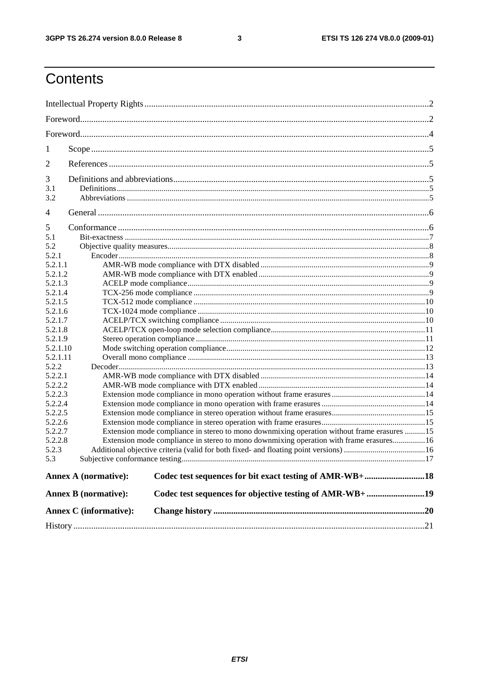#### $\mathbf{3}$

## Contents

| 1                |                               |                                                                                            |  |
|------------------|-------------------------------|--------------------------------------------------------------------------------------------|--|
| 2                |                               |                                                                                            |  |
| 3                |                               |                                                                                            |  |
| 3.1              |                               |                                                                                            |  |
| 3.2              |                               |                                                                                            |  |
| $\overline{4}$   |                               |                                                                                            |  |
|                  |                               |                                                                                            |  |
| 5                |                               |                                                                                            |  |
| 5.1              |                               |                                                                                            |  |
| 5.2              |                               |                                                                                            |  |
| 5.2.1<br>5.2.1.1 |                               |                                                                                            |  |
| 5.2.1.2          |                               |                                                                                            |  |
| 5.2.1.3          |                               |                                                                                            |  |
| 5.2.1.4          |                               |                                                                                            |  |
| 5.2.1.5          |                               |                                                                                            |  |
| 5.2.1.6          |                               |                                                                                            |  |
| 5.2.1.7          |                               |                                                                                            |  |
| 5.2.1.8          |                               |                                                                                            |  |
| 5.2.1.9          |                               |                                                                                            |  |
| 5.2.1.10         |                               |                                                                                            |  |
| 5.2.1.11         |                               |                                                                                            |  |
| 5.2.2            |                               |                                                                                            |  |
| 5.2.2.1          |                               |                                                                                            |  |
| 5.2.2.2          |                               |                                                                                            |  |
| 5.2.2.3          |                               |                                                                                            |  |
| 5.2.2.4          |                               |                                                                                            |  |
| 5.2.2.5          |                               |                                                                                            |  |
| 5.2.2.6          |                               |                                                                                            |  |
| 5.2.2.7          |                               | Extension mode compliance in stereo to mono downmixing operation without frame erasures 15 |  |
| 5.2.2.8          |                               | Extension mode compliance in stereo to mono downmixing operation with frame erasures 16    |  |
| 5.2.3            |                               |                                                                                            |  |
| 5.3              |                               |                                                                                            |  |
|                  | <b>Annex A (normative):</b>   | Codec test sequences for bit exact testing of AMR-WB+18                                    |  |
|                  | <b>Annex B</b> (normative):   | Codec test sequences for objective testing of AMR-WB+ 19                                   |  |
|                  | <b>Annex C</b> (informative): |                                                                                            |  |
|                  |                               |                                                                                            |  |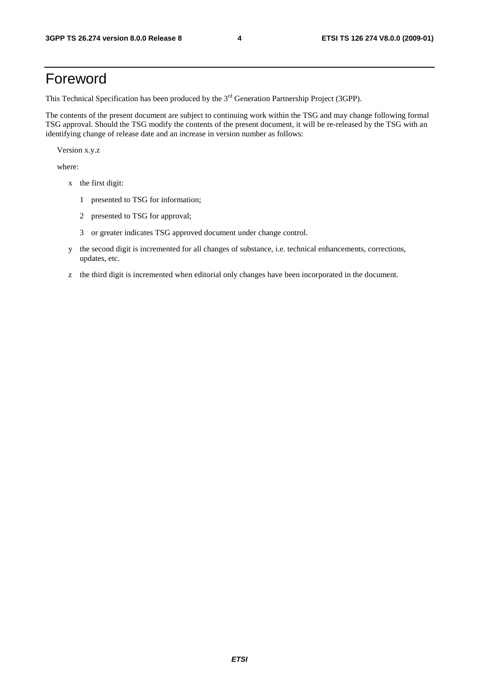## Foreword

This Technical Specification has been produced by the 3<sup>rd</sup> Generation Partnership Project (3GPP).

The contents of the present document are subject to continuing work within the TSG and may change following formal TSG approval. Should the TSG modify the contents of the present document, it will be re-released by the TSG with an identifying change of release date and an increase in version number as follows:

Version x.y.z

where:

- x the first digit:
	- 1 presented to TSG for information;
	- 2 presented to TSG for approval;
	- 3 or greater indicates TSG approved document under change control.
- y the second digit is incremented for all changes of substance, i.e. technical enhancements, corrections, updates, etc.
- z the third digit is incremented when editorial only changes have been incorporated in the document.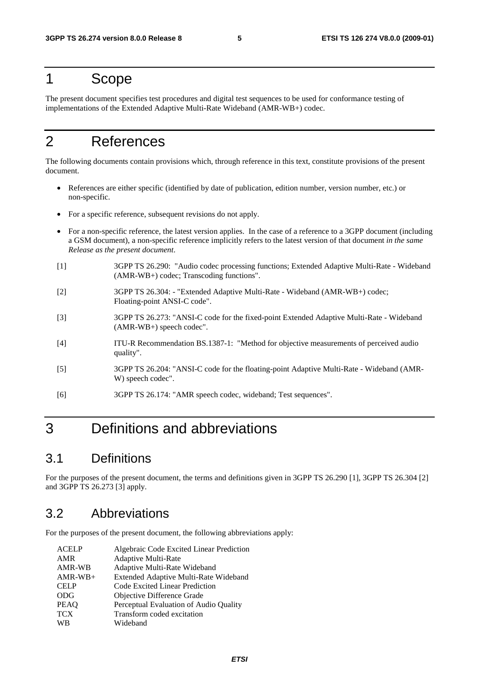### 1 Scope

The present document specifies test procedures and digital test sequences to be used for conformance testing of implementations of the Extended Adaptive Multi-Rate Wideband (AMR-WB+) codec.

## 2 References

The following documents contain provisions which, through reference in this text, constitute provisions of the present document.

- References are either specific (identified by date of publication, edition number, version number, etc.) or non-specific.
- For a specific reference, subsequent revisions do not apply.
- For a non-specific reference, the latest version applies. In the case of a reference to a 3GPP document (including a GSM document), a non-specific reference implicitly refers to the latest version of that document *in the same Release as the present document*.
- [1] 3GPP TS 26.290: "Audio codec processing functions; Extended Adaptive Multi-Rate Wideband (AMR-WB+) codec; Transcoding functions".
- [2] 3GPP TS 26.304: "Extended Adaptive Multi-Rate Wideband (AMR-WB+) codec; Floating-point ANSI-C code".
- [3] 3GPP TS 26.273: "ANSI-C code for the fixed-point Extended Adaptive Multi-Rate Wideband (AMR-WB+) speech codec".
- [4] ITU-R Recommendation BS.1387-1: "Method for objective measurements of perceived audio quality".
- [5] 3GPP TS 26.204: "ANSI-C code for the floating-point Adaptive Multi-Rate Wideband (AMR-W) speech codec".
- [6] 3GPP TS 26.174: "AMR speech codec, wideband; Test sequences".

## 3 Definitions and abbreviations

### 3.1 Definitions

For the purposes of the present document, the terms and definitions given in 3GPP TS 26.290 [1], 3GPP TS 26.304 [2] and 3GPP TS 26.273 [3] apply.

### 3.2 Abbreviations

For the purposes of the present document, the following abbreviations apply:

| <b>ACELP</b> | Algebraic Code Excited Linear Prediction |
|--------------|------------------------------------------|
| AMR          | Adaptive Multi-Rate                      |
| AMR-WB       | Adaptive Multi-Rate Wideband             |
| $AMR-WB+$    | Extended Adaptive Multi-Rate Wideband    |
| <b>CELP</b>  | Code Excited Linear Prediction           |
| <b>ODG</b>   | Objective Difference Grade               |
| <b>PEAO</b>  | Perceptual Evaluation of Audio Quality   |
| <b>TCX</b>   | Transform coded excitation               |
| WB           | Wideband                                 |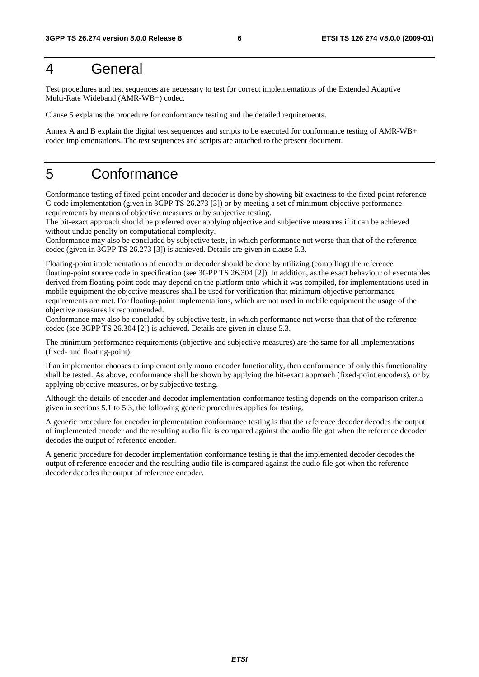### 4 General

Test procedures and test sequences are necessary to test for correct implementations of the Extended Adaptive Multi-Rate Wideband (AMR-WB+) codec.

Clause 5 explains the procedure for conformance testing and the detailed requirements.

Annex A and B explain the digital test sequences and scripts to be executed for conformance testing of AMR-WB+ codec implementations. The test sequences and scripts are attached to the present document.

## 5 Conformance

Conformance testing of fixed-point encoder and decoder is done by showing bit-exactness to the fixed-point reference C-code implementation (given in 3GPP TS 26.273 [3]) or by meeting a set of minimum objective performance requirements by means of objective measures or by subjective testing.

The bit-exact approach should be preferred over applying objective and subjective measures if it can be achieved without undue penalty on computational complexity.

Conformance may also be concluded by subjective tests, in which performance not worse than that of the reference codec (given in 3GPP TS 26.273 [3]) is achieved. Details are given in clause 5.3.

Floating-point implementations of encoder or decoder should be done by utilizing (compiling) the reference floating-point source code in specification (see 3GPP TS 26.304 [2]). In addition, as the exact behaviour of executables derived from floating-point code may depend on the platform onto which it was compiled, for implementations used in mobile equipment the objective measures shall be used for verification that minimum objective performance requirements are met. For floating-point implementations, which are not used in mobile equipment the usage of the objective measures is recommended.

Conformance may also be concluded by subjective tests, in which performance not worse than that of the reference codec (see 3GPP TS 26.304 [2]) is achieved. Details are given in clause 5.3.

The minimum performance requirements (objective and subjective measures) are the same for all implementations (fixed- and floating-point).

If an implementor chooses to implement only mono encoder functionality, then conformance of only this functionality shall be tested. As above, conformance shall be shown by applying the bit-exact approach (fixed-point encoders), or by applying objective measures, or by subjective testing.

Although the details of encoder and decoder implementation conformance testing depends on the comparison criteria given in sections 5.1 to 5.3, the following generic procedures applies for testing.

A generic procedure for encoder implementation conformance testing is that the reference decoder decodes the output of implemented encoder and the resulting audio file is compared against the audio file got when the reference decoder decodes the output of reference encoder.

A generic procedure for decoder implementation conformance testing is that the implemented decoder decodes the output of reference encoder and the resulting audio file is compared against the audio file got when the reference decoder decodes the output of reference encoder.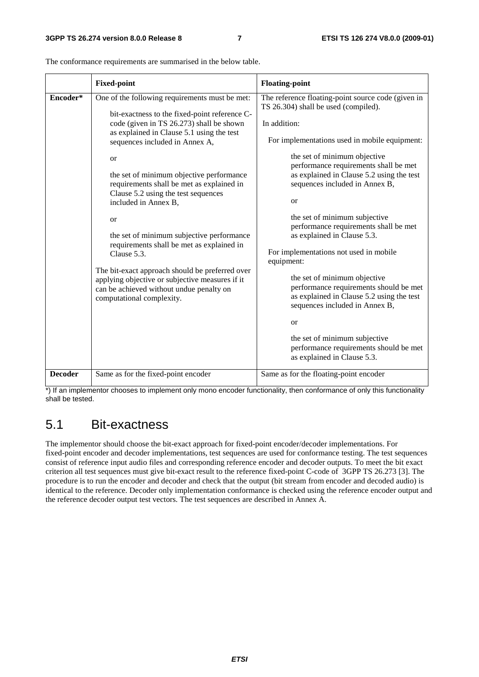|                | <b>Fixed-point</b>                                                                                                                                                                                                                                                                                                                                                                                                                                                                                                                                                                                                                                                                                       | <b>Floating-point</b>                                                                                                                                                                                                                                                                                                                                                                                                                                                                                                                                                                                                                                                                                                                                                                     |
|----------------|----------------------------------------------------------------------------------------------------------------------------------------------------------------------------------------------------------------------------------------------------------------------------------------------------------------------------------------------------------------------------------------------------------------------------------------------------------------------------------------------------------------------------------------------------------------------------------------------------------------------------------------------------------------------------------------------------------|-------------------------------------------------------------------------------------------------------------------------------------------------------------------------------------------------------------------------------------------------------------------------------------------------------------------------------------------------------------------------------------------------------------------------------------------------------------------------------------------------------------------------------------------------------------------------------------------------------------------------------------------------------------------------------------------------------------------------------------------------------------------------------------------|
| Encoder*       | One of the following requirements must be met:<br>bit-exactness to the fixed-point reference C-<br>code (given in TS 26.273) shall be shown<br>as explained in Clause 5.1 using the test<br>sequences included in Annex A,<br><sub>or</sub><br>the set of minimum objective performance<br>requirements shall be met as explained in<br>Clause 5.2 using the test sequences<br>included in Annex B,<br><b>or</b><br>the set of minimum subjective performance<br>requirements shall be met as explained in<br>Clause 5.3.<br>The bit-exact approach should be preferred over<br>applying objective or subjective measures if it<br>can be achieved without undue penalty on<br>computational complexity. | The reference floating-point source code (given in<br>TS 26.304) shall be used (compiled).<br>In addition:<br>For implementations used in mobile equipment:<br>the set of minimum objective<br>performance requirements shall be met<br>as explained in Clause 5.2 using the test<br>sequences included in Annex B,<br><sub>or</sub><br>the set of minimum subjective<br>performance requirements shall be met<br>as explained in Clause 5.3.<br>For implementations not used in mobile<br>equipment:<br>the set of minimum objective<br>performance requirements should be met<br>as explained in Clause 5.2 using the test<br>sequences included in Annex B,<br><sub>or</sub><br>the set of minimum subjective<br>performance requirements should be met<br>as explained in Clause 5.3. |
| <b>Decoder</b> | Same as for the fixed-point encoder                                                                                                                                                                                                                                                                                                                                                                                                                                                                                                                                                                                                                                                                      | Same as for the floating-point encoder                                                                                                                                                                                                                                                                                                                                                                                                                                                                                                                                                                                                                                                                                                                                                    |

The conformance requirements are summarised in the below table.

\*) If an implementor chooses to implement only mono encoder functionality, then conformance of only this functionality shall be tested.

### 5.1 Bit-exactness

The implementor should choose the bit-exact approach for fixed-point encoder/decoder implementations. For fixed-point encoder and decoder implementations, test sequences are used for conformance testing. The test sequences consist of reference input audio files and corresponding reference encoder and decoder outputs. To meet the bit exact criterion all test sequences must give bit-exact result to the reference fixed-point C-code of 3GPP TS 26.273 [3]. The procedure is to run the encoder and decoder and check that the output (bit stream from encoder and decoded audio) is identical to the reference. Decoder only implementation conformance is checked using the reference encoder output and the reference decoder output test vectors. The test sequences are described in Annex A.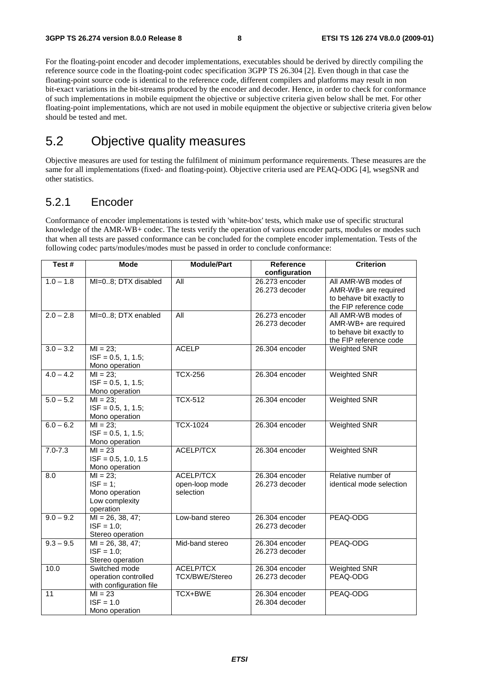For the floating-point encoder and decoder implementations, executables should be derived by directly compiling the reference source code in the floating-point codec specification 3GPP TS 26.304 [2]. Even though in that case the floating-point source code is identical to the reference code, different compilers and platforms may result in non bit-exact variations in the bit-streams produced by the encoder and decoder. Hence, in order to check for conformance of such implementations in mobile equipment the objective or subjective criteria given below shall be met. For other floating-point implementations, which are not used in mobile equipment the objective or subjective criteria given below should be tested and met.

### 5.2 Objective quality measures

Objective measures are used for testing the fulfilment of minimum performance requirements. These measures are the same for all implementations (fixed- and floating-point). Objective criteria used are PEAQ-ODG [4], wsegSNR and other statistics.

### 5.2.1 Encoder

Conformance of encoder implementations is tested with 'white-box' tests, which make use of specific structural knowledge of the AMR-WB+ codec. The tests verify the operation of various encoder parts, modules or modes such that when all tests are passed conformance can be concluded for the complete encoder implementation. Tests of the following codec parts/modules/modes must be passed in order to conclude conformance:

| Test#           | <b>Mode</b>                                                                | <b>Module/Part</b>                       | Reference                                         | <b>Criterion</b>                                                                                  |
|-----------------|----------------------------------------------------------------------------|------------------------------------------|---------------------------------------------------|---------------------------------------------------------------------------------------------------|
| $1.0 - 1.8$     | MI=08; DTX disabled                                                        | <b>All</b>                               | configuration<br>26.273 encoder<br>26.273 decoder | All AMR-WB modes of<br>AMR-WB+ are required<br>to behave bit exactly to<br>the FIP reference code |
| $2.0 - 2.8$     | MI=08; DTX enabled                                                         | All                                      | 26.273 encoder<br>26.273 decoder                  | All AMR-WB modes of<br>AMR-WB+ are required<br>to behave bit exactly to<br>the FIP reference code |
| $3.0 - 3.2$     | $MI = 23;$<br>$ISF = 0.5, 1, 1.5;$<br>Mono operation                       | <b>ACELP</b>                             | 26.304 encoder                                    | <b>Weighted SNR</b>                                                                               |
| $4.0 - 4.2$     | $MI = 23;$<br>$ISF = 0.5, 1, 1.5;$<br>Mono operation                       | <b>TCX-256</b>                           | 26.304 encoder                                    | <b>Weighted SNR</b>                                                                               |
| $5.0 - 5.2$     | $MI = 23$ ;<br>$ISF = 0.5, 1, 1.5;$<br>Mono operation                      | <b>TCX-512</b>                           | 26.304 encoder                                    | <b>Weighted SNR</b>                                                                               |
| $6.0 - 6.2$     | $\overline{M}$ = 23;<br>$ISF = 0.5, 1, 1.5;$<br>Mono operation             | <b>TCX-1024</b>                          | 26.304 encoder                                    | <b>Weighted SNR</b>                                                                               |
| $7.0 - 7.3$     | $MI = 23$<br>$ISF = 0.5, 1.0, 1.5$<br>Mono operation                       | ACELP/TCX                                | 26.304 encoder                                    | <b>Weighted SNR</b>                                                                               |
| 8.0             | $MI = 23:$<br>$ISF = 1$ :<br>Mono operation<br>Low complexity<br>operation | ACELP/TCX<br>open-loop mode<br>selection | 26.304 encoder<br>26.273 decoder                  | Relative number of<br>identical mode selection                                                    |
| $9.0 - 9.2$     | $MI = 26, 38, 47;$<br>$ISF = 1.0;$<br>Stereo operation                     | Low-band stereo                          | 26.304 encoder<br>26.273 decoder                  | PEAQ-ODG                                                                                          |
| $9.3 - 9.5$     | $MI = 26, 38, 47;$<br>$ISF = 1.0$ ;<br>Stereo operation                    | Mid-band stereo                          | 26.304 encoder<br>26.273 decoder                  | PEAQ-ODG                                                                                          |
| 10.0            | Switched mode<br>operation controlled<br>with configuration file           | ACELP/TCX<br><b>TCX/BWE/Stereo</b>       | 26.304 encoder<br>26.273 decoder                  | <b>Weighted SNR</b><br>PEAQ-ODG                                                                   |
| $\overline{11}$ | $MI = 23$<br>$ISF = 1.0$<br>Mono operation                                 | TCX+BWE                                  | 26.304 encoder<br>26.304 decoder                  | PEAQ-ODG                                                                                          |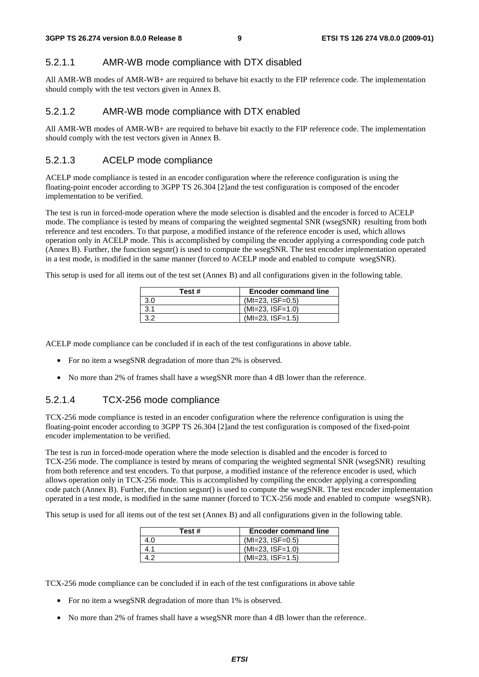#### 5.2.1.1 AMR-WB mode compliance with DTX disabled

All AMR-WB modes of AMR-WB+ are required to behave bit exactly to the FIP reference code. The implementation should comply with the test vectors given in Annex B.

#### 5.2.1.2 AMR-WB mode compliance with DTX enabled

All AMR-WB modes of AMR-WB+ are required to behave bit exactly to the FIP reference code. The implementation should comply with the test vectors given in Annex B.

#### 5.2.1.3 ACELP mode compliance

ACELP mode compliance is tested in an encoder configuration where the reference configuration is using the floating-point encoder according to 3GPP TS 26.304 [2]and the test configuration is composed of the encoder implementation to be verified.

The test is run in forced-mode operation where the mode selection is disabled and the encoder is forced to ACELP mode. The compliance is tested by means of comparing the weighted segmental SNR (wsegSNR) resulting from both reference and test encoders. To that purpose, a modified instance of the reference encoder is used, which allows operation only in ACELP mode. This is accomplished by compiling the encoder applying a corresponding code patch (Annex B). Further, the function segsnr() is used to compute the wsegSNR. The test encoder implementation operated in a test mode, is modified in the same manner (forced to ACELP mode and enabled to compute wsegSNR).

This setup is used for all items out of the test set (Annex B) and all configurations given in the following table.

| Test # | <b>Encoder command line</b> |
|--------|-----------------------------|
| 3.0    | $(MI=23, ISF=0.5)$          |
| 3.1    | $(MI=23, ISF=1.0)$          |
| 3.2    | $(MI=23, ISF=1.5)$          |

ACELP mode compliance can be concluded if in each of the test configurations in above table.

- For no item a wsegSNR degradation of more than 2% is observed.
- No more than 2% of frames shall have a wsegSNR more than 4 dB lower than the reference.

#### 5.2.1.4 TCX-256 mode compliance

TCX-256 mode compliance is tested in an encoder configuration where the reference configuration is using the floating-point encoder according to 3GPP TS 26.304 [2]and the test configuration is composed of the fixed-point encoder implementation to be verified.

The test is run in forced-mode operation where the mode selection is disabled and the encoder is forced to TCX-256 mode. The compliance is tested by means of comparing the weighted segmental SNR (wsegSNR) resulting from both reference and test encoders. To that purpose, a modified instance of the reference encoder is used, which allows operation only in TCX-256 mode. This is accomplished by compiling the encoder applying a corresponding code patch (Annex B). Further, the function segsnr() is used to compute the wsegSNR. The test encoder implementation operated in a test mode, is modified in the same manner (forced to TCX-256 mode and enabled to compute wsegSNR).

This setup is used for all items out of the test set (Annex B) and all configurations given in the following table.

| Test # | <b>Encoder command line</b> |
|--------|-----------------------------|
| 4.0    | $(MI=23, ISF=0.5)$          |
| 4.1    | $(MI=23, ISF=1.0)$          |
|        | $(MI=23, ISF=1.5)$          |

TCX-256 mode compliance can be concluded if in each of the test configurations in above table

- For no item a wsegSNR degradation of more than 1% is observed.
- No more than 2% of frames shall have a wsegSNR more than 4 dB lower than the reference.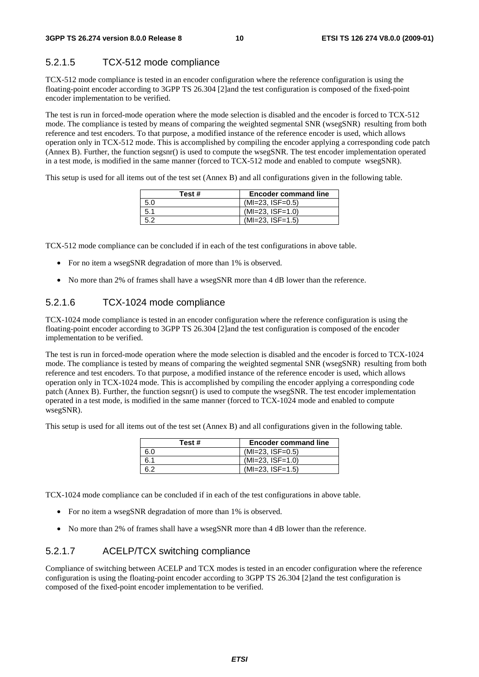### 5.2.1.5 TCX-512 mode compliance

TCX-512 mode compliance is tested in an encoder configuration where the reference configuration is using the floating-point encoder according to 3GPP TS 26.304 [2]and the test configuration is composed of the fixed-point encoder implementation to be verified.

The test is run in forced-mode operation where the mode selection is disabled and the encoder is forced to TCX-512 mode. The compliance is tested by means of comparing the weighted segmental SNR (wsegSNR) resulting from both reference and test encoders. To that purpose, a modified instance of the reference encoder is used, which allows operation only in TCX-512 mode. This is accomplished by compiling the encoder applying a corresponding code patch (Annex B). Further, the function segsnr() is used to compute the wsegSNR. The test encoder implementation operated in a test mode, is modified in the same manner (forced to TCX-512 mode and enabled to compute wsegSNR).

This setup is used for all items out of the test set (Annex B) and all configurations given in the following table.

| Test# | <b>Encoder command line</b> |
|-------|-----------------------------|
| 5.0   | $(MI=23, ISF=0.5)$          |
| 5.1   | $(MI=23, ISF=1.0)$          |
| 5.2   | $(MI=23, ISF=1.5)$          |

TCX-512 mode compliance can be concluded if in each of the test configurations in above table.

- For no item a wsegSNR degradation of more than 1% is observed.
- No more than 2% of frames shall have a wsegSNR more than 4 dB lower than the reference.

### 5.2.1.6 TCX-1024 mode compliance

TCX-1024 mode compliance is tested in an encoder configuration where the reference configuration is using the floating-point encoder according to 3GPP TS 26.304 [2]and the test configuration is composed of the encoder implementation to be verified.

The test is run in forced-mode operation where the mode selection is disabled and the encoder is forced to TCX-1024 mode. The compliance is tested by means of comparing the weighted segmental SNR (wsegSNR) resulting from both reference and test encoders. To that purpose, a modified instance of the reference encoder is used, which allows operation only in TCX-1024 mode. This is accomplished by compiling the encoder applying a corresponding code patch (Annex B). Further, the function segsnr() is used to compute the wsegSNR. The test encoder implementation operated in a test mode, is modified in the same manner (forced to TCX-1024 mode and enabled to compute wsegSNR).

This setup is used for all items out of the test set (Annex B) and all configurations given in the following table.

| Test# | <b>Encoder command line</b> |
|-------|-----------------------------|
| 6.0   | $(MI=23, ISF=0.5)$          |
| 6.1   | $(MI=23, ISF=1.0)$          |
| 6.2   | $(MI=23, ISF=1.5)$          |

TCX-1024 mode compliance can be concluded if in each of the test configurations in above table.

- For no item a wsegSNR degradation of more than 1% is observed.
- No more than 2% of frames shall have a wsegSNR more than 4 dB lower than the reference.

### 5.2.1.7 ACELP/TCX switching compliance

Compliance of switching between ACELP and TCX modes is tested in an encoder configuration where the reference configuration is using the floating-point encoder according to 3GPP TS 26.304 [2]and the test configuration is composed of the fixed-point encoder implementation to be verified.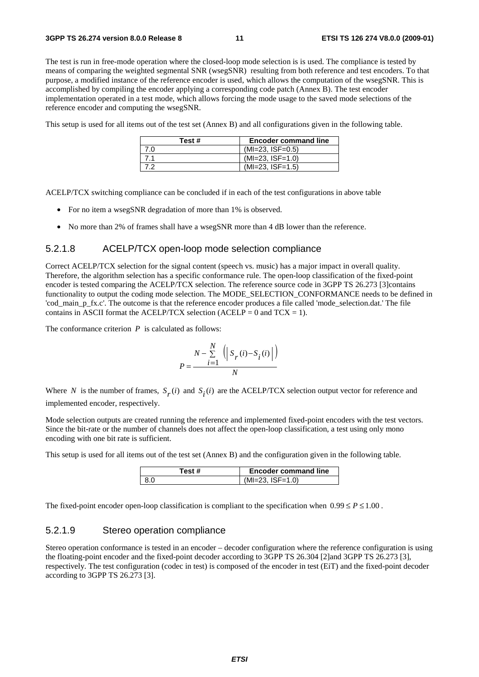The test is run in free-mode operation where the closed-loop mode selection is is used. The compliance is tested by means of comparing the weighted segmental SNR (wsegSNR) resulting from both reference and test encoders. To that purpose, a modified instance of the reference encoder is used, which allows the computation of the wsegSNR. This is accomplished by compiling the encoder applying a corresponding code patch (Annex B). The test encoder implementation operated in a test mode, which allows forcing the mode usage to the saved mode selections of the reference encoder and computing the wsegSNR.

This setup is used for all items out of the test set (Annex B) and all configurations given in the following table.

| Test # | <b>Encoder command line</b> |
|--------|-----------------------------|
| 7.0    | $(MI=23, ISF=0.5)$          |
|        | $(MI=23, ISF=1.0)$          |
|        | $(MI=23, ISF=1.5)$          |

ACELP/TCX switching compliance can be concluded if in each of the test configurations in above table

- For no item a wsegSNR degradation of more than 1% is observed.
- No more than 2% of frames shall have a wsegSNR more than 4 dB lower than the reference.

#### 5.2.1.8 ACELP/TCX open-loop mode selection compliance

Correct ACELP/TCX selection for the signal content (speech vs. music) has a major impact in overall quality. Therefore, the algorithm selection has a specific conformance rule. The open-loop classification of the fixed-point encoder is tested comparing the ACELP/TCX selection. The reference source code in 3GPP TS 26.273 [3]contains functionality to output the coding mode selection. The MODE\_SELECTION\_CONFORMANCE needs to be defined in 'cod\_main\_p\_fx.c'. The outcome is that the reference encoder produces a file called 'mode\_selection.dat.' The file contains in ASCII format the ACELP/TCX selection (ACELP = 0 and  $TCX = 1$ ).

The conformance criterion *P* is calculated as follows:

$$
P=\frac{N-\sum\limits_{i=1}^{N}\ \left(\left|\ S_{r}(i)-S_{i}(i)\right|\right)}{N}
$$

Where *N* is the number of frames,  $S_r(i)$  and  $S_i(i)$  are the ACELP/TCX selection output vector for reference and implemented encoder, respectively.

Mode selection outputs are created running the reference and implemented fixed-point encoders with the test vectors. Since the bit-rate or the number of channels does not affect the open-loop classification, a test using only mono encoding with one bit rate is sufficient.

This setup is used for all items out of the test set (Annex B) and the configuration given in the following table.

| 'est # | <b>Encoder command line</b> |
|--------|-----------------------------|
|        | $(MI=23.1SF=1.0)$           |

The fixed-point encoder open-loop classification is compliant to the specification when  $0.99 \le P \le 1.00$ .

#### 5.2.1.9 Stereo operation compliance

Stereo operation conformance is tested in an encoder – decoder configuration where the reference configuration is using the floating-point encoder and the fixed-point decoder according to 3GPP TS 26.304 [2]and 3GPP TS 26.273 [3], respectively. The test configuration (codec in test) is composed of the encoder in test (EiT) and the fixed-point decoder according to 3GPP TS 26.273 [3].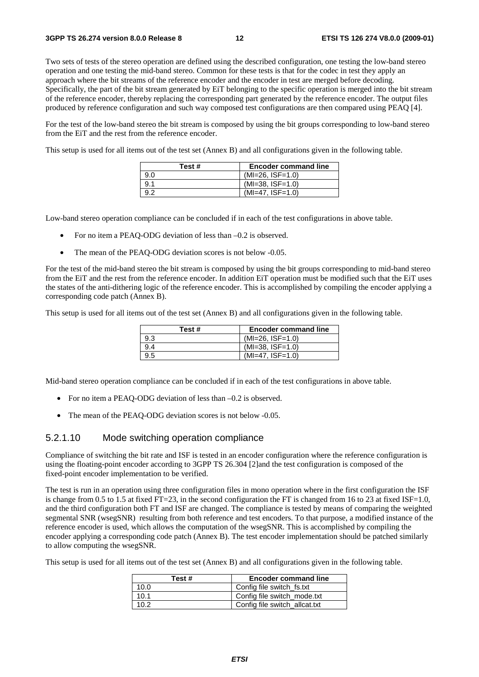Two sets of tests of the stereo operation are defined using the described configuration, one testing the low-band stereo operation and one testing the mid-band stereo. Common for these tests is that for the codec in test they apply an approach where the bit streams of the reference encoder and the encoder in test are merged before decoding. Specifically, the part of the bit stream generated by EiT belonging to the specific operation is merged into the bit stream of the reference encoder, thereby replacing the corresponding part generated by the reference encoder. The output files produced by reference configuration and such way composed test configurations are then compared using PEAQ [4].

For the test of the low-band stereo the bit stream is composed by using the bit groups corresponding to low-band stereo from the EiT and the rest from the reference encoder.

This setup is used for all items out of the test set (Annex B) and all configurations given in the following table.

| Test # | <b>Encoder command line</b> |
|--------|-----------------------------|
| 9.0    | $(MI=26, ISF=1.0)$          |
| 9.1    | $(MI=38, ISF=1.0)$          |
| -92    | $(MI=47, ISF=1.0)$          |

Low-band stereo operation compliance can be concluded if in each of the test configurations in above table.

- For no item a PEAQ-ODG deviation of less than  $-0.2$  is observed.
- The mean of the PEAQ-ODG deviation scores is not below -0.05.

For the test of the mid-band stereo the bit stream is composed by using the bit groups corresponding to mid-band stereo from the EiT and the rest from the reference encoder. In addition EiT operation must be modified such that the EiT uses the states of the anti-dithering logic of the reference encoder. This is accomplished by compiling the encoder applying a corresponding code patch (Annex B).

This setup is used for all items out of the test set (Annex B) and all configurations given in the following table.

| Test# | <b>Encoder command line</b> |
|-------|-----------------------------|
| 9.3   | $(MI=26, ISF=1.0)$          |
| 9.4   | $(MI=38, ISF=1.0)$          |
| 9.5   | $(MI=47, ISF=1.0)$          |

Mid-band stereo operation compliance can be concluded if in each of the test configurations in above table.

- For no item a PEAQ-ODG deviation of less than  $-0.2$  is observed.
- The mean of the PEAQ-ODG deviation scores is not below -0.05.

### 5.2.1.10 Mode switching operation compliance

Compliance of switching the bit rate and ISF is tested in an encoder configuration where the reference configuration is using the floating-point encoder according to 3GPP TS 26.304 [2]and the test configuration is composed of the fixed-point encoder implementation to be verified.

The test is run in an operation using three configuration files in mono operation where in the first configuration the ISF is change from 0.5 to 1.5 at fixed FT=23, in the second configuration the FT is changed from 16 to 23 at fixed ISF=1.0, and the third configuration both FT and ISF are changed. The compliance is tested by means of comparing the weighted segmental SNR (wsegSNR) resulting from both reference and test encoders. To that purpose, a modified instance of the reference encoder is used, which allows the computation of the wsegSNR. This is accomplished by compiling the encoder applying a corresponding code patch (Annex B). The test encoder implementation should be patched similarly to allow computing the wsegSNR.

This setup is used for all items out of the test set (Annex B) and all configurations given in the following table.

| Test# | <b>Encoder command line</b>   |
|-------|-------------------------------|
| 10.0  | Config file switch_fs.txt     |
| 10.1  | Config file switch mode.txt   |
| 102   | Config file switch_allcat.txt |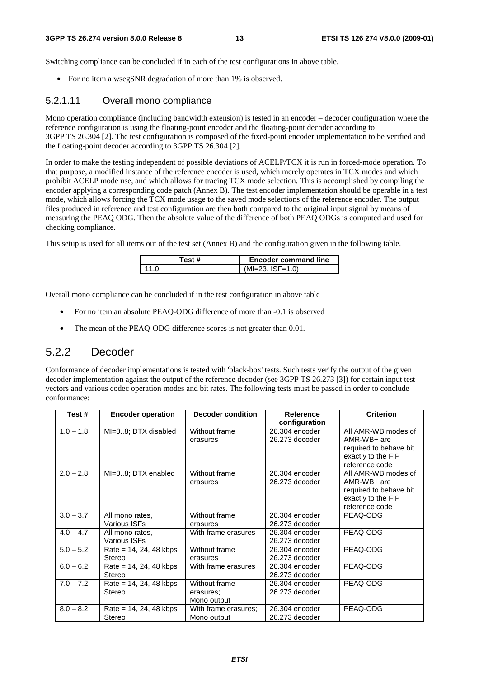#### **3GPP TS 26.274 version 8.0.0 Release 8 13 ETSI TS 126 274 V8.0.0 (2009-01)**

Switching compliance can be concluded if in each of the test configurations in above table.

• For no item a wsegSNR degradation of more than 1% is observed.

#### 5.2.1.11 Overall mono compliance

Mono operation compliance (including bandwidth extension) is tested in an encoder – decoder configuration where the reference configuration is using the floating-point encoder and the floating-point decoder according to 3GPP TS 26.304 [2]. The test configuration is composed of the fixed-point encoder implementation to be verified and the floating-point decoder according to 3GPP TS 26.304 [2].

In order to make the testing independent of possible deviations of ACELP/TCX it is run in forced-mode operation. To that purpose, a modified instance of the reference encoder is used, which merely operates in TCX modes and which prohibit ACELP mode use, and which allows for tracing TCX mode selection. This is accomplished by compiling the encoder applying a corresponding code patch (Annex B). The test encoder implementation should be operable in a test mode, which allows forcing the TCX mode usage to the saved mode selections of the reference encoder. The output files produced in reference and test configuration are then both compared to the original input signal by means of measuring the PEAQ ODG. Then the absolute value of the difference of both PEAQ ODGs is computed and used for checking compliance.

This setup is used for all items out of the test set (Annex B) and the configuration given in the following table.

| Test # | <b>Encoder command line</b> |
|--------|-----------------------------|
| 11 O   | $(MI=23. ISF=1.0)$          |

Overall mono compliance can be concluded if in the test configuration in above table

- For no item an absolute PEAQ-ODG difference of more than -0.1 is observed
- The mean of the PEAQ-ODG difference scores is not greater than 0.01.

### 5.2.2 Decoder

Conformance of decoder implementations is tested with 'black-box' tests. Such tests verify the output of the given decoder implementation against the output of the reference decoder (see 3GPP TS 26.273 [3]) for certain input test vectors and various codec operation modes and bit rates. The following tests must be passed in order to conclude conformance:

| Test#       | <b>Encoder operation</b> | <b>Decoder condition</b> | <b>Reference</b> | <b>Criterion</b>       |
|-------------|--------------------------|--------------------------|------------------|------------------------|
|             |                          |                          | configuration    |                        |
| $1.0 - 1.8$ | MI=08; DTX disabled      | Without frame            | 26.304 encoder   | All AMR-WB modes of    |
|             |                          | erasures                 | 26.273 decoder   | AMR-WB+ are            |
|             |                          |                          |                  | required to behave bit |
|             |                          |                          |                  | exactly to the FIP     |
|             |                          |                          |                  | reference code         |
| $2.0 - 2.8$ | MI=08; DTX enabled       | Without frame            | 26.304 encoder   | All AMR-WB modes of    |
|             |                          | erasures                 | 26.273 decoder   | AMR-WB+ are            |
|             |                          |                          |                  | required to behave bit |
|             |                          |                          |                  | exactly to the FIP     |
|             |                          |                          |                  | reference code         |
| $3.0 - 3.7$ | All mono rates,          | Without frame            | 26.304 encoder   | PEAQ-ODG               |
|             | Various ISFs             | erasures                 | 26.273 decoder   |                        |
| $4.0 - 4.7$ | All mono rates,          | With frame erasures      | 26.304 encoder   | PEAQ-ODG               |
|             | Various ISFs             |                          | 26.273 decoder   |                        |
| $5.0 - 5.2$ | $Rate = 14, 24, 48 kbps$ | Without frame            | 26.304 encoder   | PEAQ-ODG               |
|             | Stereo                   | erasures                 | 26.273 decoder   |                        |
| $6.0 - 6.2$ | $Rate = 14, 24, 48 kbps$ | With frame erasures      | 26.304 encoder   | PEAQ-ODG               |
|             | Stereo                   |                          | 26.273 decoder   |                        |
| $7.0 - 7.2$ | $Rate = 14, 24, 48 kbps$ | Without frame            | 26.304 encoder   | PEAQ-ODG               |
|             | Stereo                   | erasures:                | 26.273 decoder   |                        |
|             |                          | Mono output              |                  |                        |
| $8.0 - 8.2$ | $Rate = 14, 24, 48 kbps$ | With frame erasures;     | 26.304 encoder   | PEAQ-ODG               |
|             | Stereo                   | Mono output              | 26.273 decoder   |                        |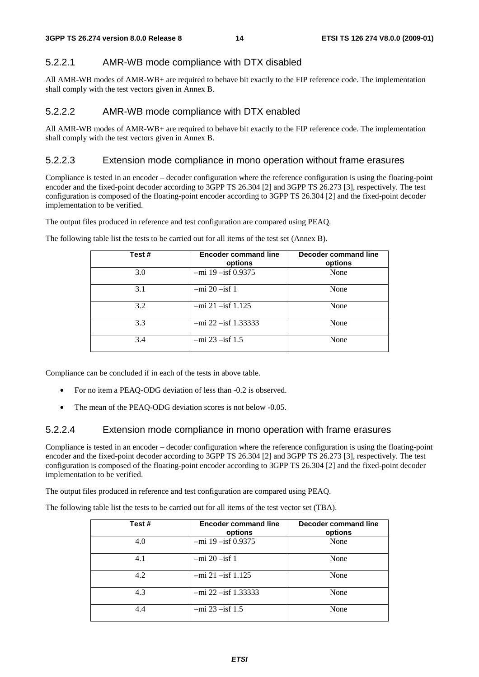### 5.2.2.1 AMR-WB mode compliance with DTX disabled

All AMR-WB modes of AMR-WB+ are required to behave bit exactly to the FIP reference code. The implementation shall comply with the test vectors given in Annex B.

### 5.2.2.2 AMR-WB mode compliance with DTX enabled

All AMR-WB modes of AMR-WB+ are required to behave bit exactly to the FIP reference code. The implementation shall comply with the test vectors given in Annex B.

#### 5.2.2.3 Extension mode compliance in mono operation without frame erasures

Compliance is tested in an encoder – decoder configuration where the reference configuration is using the floating-point encoder and the fixed-point decoder according to 3GPP TS 26.304 [2] and 3GPP TS 26.273 [3], respectively. The test configuration is composed of the floating-point encoder according to 3GPP TS 26.304 [2] and the fixed-point decoder implementation to be verified.

The output files produced in reference and test configuration are compared using PEAQ.

| Test # | <b>Encoder command line</b><br>options | Decoder command line<br>options |
|--------|----------------------------------------|---------------------------------|
| 3.0    | $-mi$ 19 $-isf$ 0.9375                 | None                            |
| 3.1    | $-mi$ 20 $-i$ sf 1                     | None                            |
| 3.2    | $-mi$ 21 $-i$ sf 1.125                 | None                            |
| 3.3    | $-mi$ 22 $-isf$ 1.33333                | None                            |
| 3.4    | $-mi$ 23 $-isf$ 1.5                    | None                            |

The following table list the tests to be carried out for all items of the test set (Annex B).

Compliance can be concluded if in each of the tests in above table.

- For no item a PEAQ-ODG deviation of less than -0.2 is observed.
- The mean of the PEAQ-ODG deviation scores is not below -0.05.

#### 5.2.2.4 Extension mode compliance in mono operation with frame erasures

Compliance is tested in an encoder – decoder configuration where the reference configuration is using the floating-point encoder and the fixed-point decoder according to 3GPP TS 26.304 [2] and 3GPP TS 26.273 [3], respectively. The test configuration is composed of the floating-point encoder according to 3GPP TS 26.304 [2] and the fixed-point decoder implementation to be verified.

The output files produced in reference and test configuration are compared using PEAQ.

The following table list the tests to be carried out for all items of the test vector set (TBA).

| Test# | <b>Encoder command line</b><br>options | Decoder command line<br>options |
|-------|----------------------------------------|---------------------------------|
| 4.0   | $-mi$ 19 $-isf$ 0.9375                 | None                            |
| 4.1   | $-mi$ 20 $-i$ sf 1                     | None                            |
| 4.2   | $-mi$ 21 $-isf$ 1.125                  | None                            |
| 4.3   | $-mi$ 22 $-isf$ 1.33333                | None                            |
| 4.4   | $-mi$ 23 $-isf$ 1.5                    | None                            |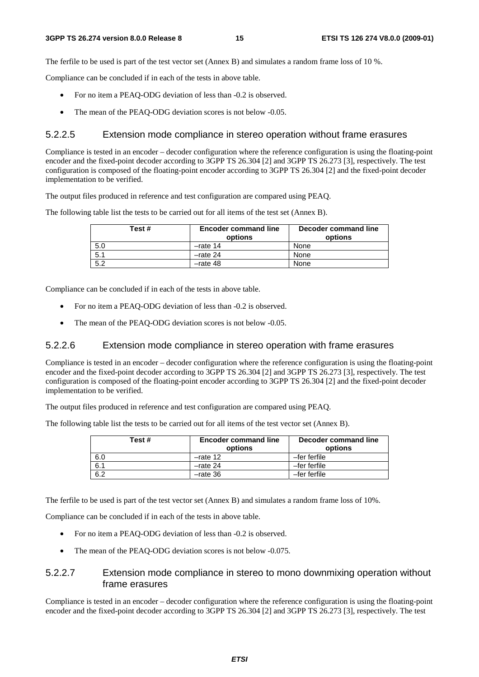The ferfile to be used is part of the test vector set (Annex B) and simulates a random frame loss of 10 %.

Compliance can be concluded if in each of the tests in above table.

- For no item a PEAQ-ODG deviation of less than -0.2 is observed.
- The mean of the PEAQ-ODG deviation scores is not below -0.05.

#### 5.2.2.5 Extension mode compliance in stereo operation without frame erasures

Compliance is tested in an encoder – decoder configuration where the reference configuration is using the floating-point encoder and the fixed-point decoder according to 3GPP TS 26.304 [2] and 3GPP TS 26.273 [3], respectively. The test configuration is composed of the floating-point encoder according to 3GPP TS 26.304 [2] and the fixed-point decoder implementation to be verified.

The output files produced in reference and test configuration are compared using PEAQ.

The following table list the tests to be carried out for all items of the test set (Annex B).

| Test # | <b>Encoder command line</b><br>options | Decoder command line<br>options |
|--------|----------------------------------------|---------------------------------|
| 5.0    | $-$ rate 14                            | None                            |
| 5.1    | $-$ rate 24                            | None                            |
| 5.2    | $-$ rate 48                            | None                            |

Compliance can be concluded if in each of the tests in above table.

- For no item a PEAQ-ODG deviation of less than -0.2 is observed.
- The mean of the PEAQ-ODG deviation scores is not below -0.05.

#### 5.2.2.6 Extension mode compliance in stereo operation with frame erasures

Compliance is tested in an encoder – decoder configuration where the reference configuration is using the floating-point encoder and the fixed-point decoder according to 3GPP TS 26.304 [2] and 3GPP TS 26.273 [3], respectively. The test configuration is composed of the floating-point encoder according to 3GPP TS 26.304 [2] and the fixed-point decoder implementation to be verified.

The output files produced in reference and test configuration are compared using PEAQ.

The following table list the tests to be carried out for all items of the test vector set (Annex B).

| Test # | <b>Encoder command line</b><br>options | Decoder command line<br>options |
|--------|----------------------------------------|---------------------------------|
| 6.0    | $-$ rate 12                            | -fer ferfile                    |
| 6.1    | $-$ rate 24                            | -fer ferfile                    |
| 6.2    | $-rate$ 36                             | -fer ferfile                    |

The ferfile to be used is part of the test vector set (Annex B) and simulates a random frame loss of 10%.

Compliance can be concluded if in each of the tests in above table.

- For no item a PEAQ-ODG deviation of less than -0.2 is observed.
- The mean of the PEAQ-ODG deviation scores is not below -0.075.

#### 5.2.2.7 Extension mode compliance in stereo to mono downmixing operation without frame erasures

Compliance is tested in an encoder – decoder configuration where the reference configuration is using the floating-point encoder and the fixed-point decoder according to 3GPP TS 26.304 [2] and 3GPP TS 26.273 [3], respectively. The test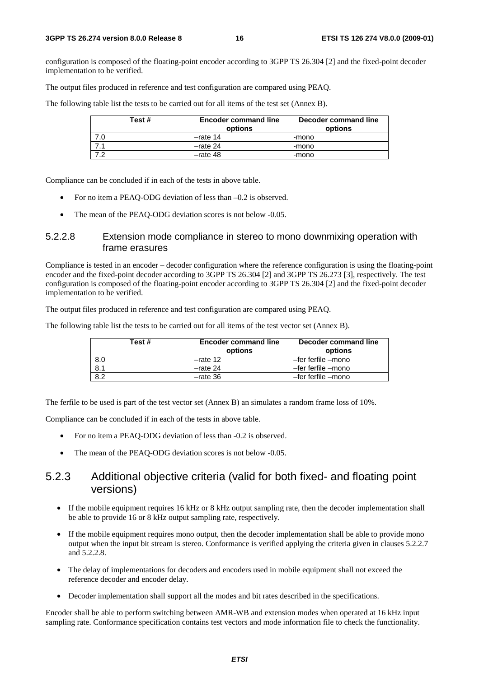configuration is composed of the floating-point encoder according to 3GPP TS 26.304 [2] and the fixed-point decoder implementation to be verified.

The output files produced in reference and test configuration are compared using PEAQ.

The following table list the tests to be carried out for all items of the test set (Annex B).

| Test #    | <b>Encoder command line</b><br>options | Decoder command line<br>options |
|-----------|----------------------------------------|---------------------------------|
| 7.0       | $-$ rate 14                            | -mono                           |
|           | $-$ rate 24                            | -mono                           |
| <b>72</b> | $-$ rate 48                            | -mono                           |

Compliance can be concluded if in each of the tests in above table.

- For no item a PEAQ-ODG deviation of less than –0.2 is observed.
- The mean of the PEAQ-ODG deviation scores is not below -0.05.

#### 5.2.2.8 Extension mode compliance in stereo to mono downmixing operation with frame erasures

Compliance is tested in an encoder – decoder configuration where the reference configuration is using the floating-point encoder and the fixed-point decoder according to 3GPP TS 26.304 [2] and 3GPP TS 26.273 [3], respectively. The test configuration is composed of the floating-point encoder according to 3GPP TS 26.304 [2] and the fixed-point decoder implementation to be verified.

The output files produced in reference and test configuration are compared using PEAQ.

The following table list the tests to be carried out for all items of the test vector set (Annex B).

| Test# | <b>Encoder command line</b><br>options | Decoder command line<br>options |
|-------|----------------------------------------|---------------------------------|
| 8.0   | $-$ rate 12                            | -fer ferfile -mono              |
| 8.1   | $-$ rate 24                            | -fer ferfile -mono              |
| 8.2   | $-$ rate 36                            | -fer ferfile -mono              |

The ferfile to be used is part of the test vector set (Annex B) an simulates a random frame loss of 10%.

Compliance can be concluded if in each of the tests in above table.

- For no item a PEAQ-ODG deviation of less than -0.2 is observed.
- The mean of the PEAQ-ODG deviation scores is not below -0.05.

### 5.2.3 Additional objective criteria (valid for both fixed- and floating point versions)

- If the mobile equipment requires 16 kHz or 8 kHz output sampling rate, then the decoder implementation shall be able to provide 16 or 8 kHz output sampling rate, respectively.
- If the mobile equipment requires mono output, then the decoder implementation shall be able to provide mono output when the input bit stream is stereo. Conformance is verified applying the criteria given in clauses 5.2.2.7 and 5.2.2.8.
- The delay of implementations for decoders and encoders used in mobile equipment shall not exceed the reference decoder and encoder delay.
- Decoder implementation shall support all the modes and bit rates described in the specifications.

Encoder shall be able to perform switching between AMR-WB and extension modes when operated at 16 kHz input sampling rate. Conformance specification contains test vectors and mode information file to check the functionality.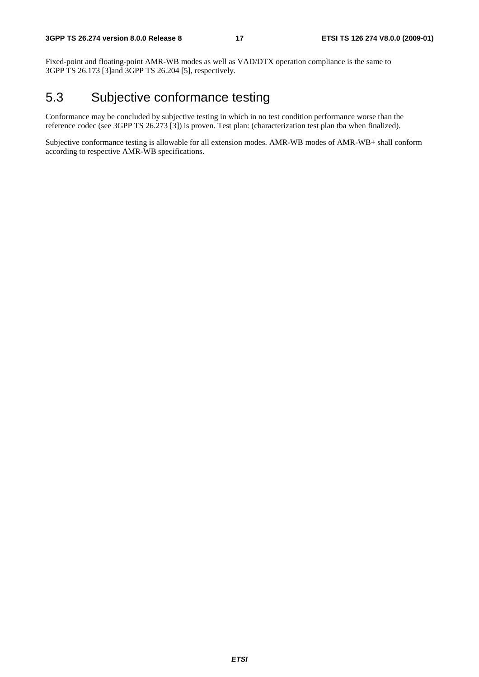Fixed-point and floating-point AMR-WB modes as well as VAD/DTX operation compliance is the same to 3GPP TS 26.173 [3]and 3GPP TS 26.204 [5], respectively.

## 5.3 Subjective conformance testing

Conformance may be concluded by subjective testing in which in no test condition performance worse than the reference codec (see 3GPP TS 26.273 [3]) is proven. Test plan: (characterization test plan tba when finalized).

Subjective conformance testing is allowable for all extension modes. AMR-WB modes of AMR-WB+ shall conform according to respective AMR-WB specifications.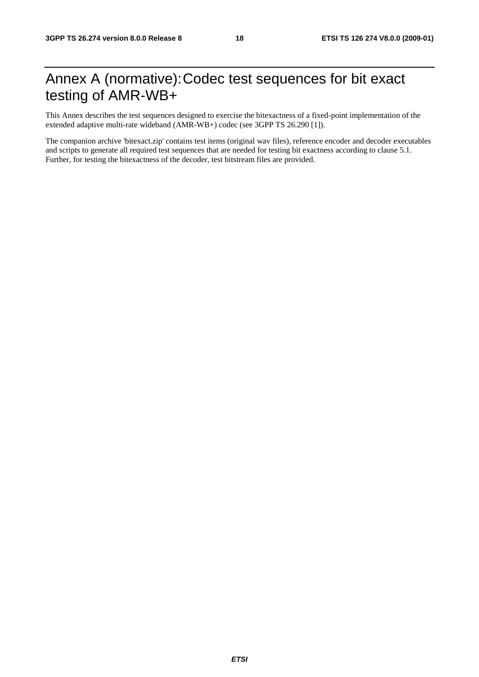## Annex A (normative): Codec test sequences for bit exact testing of AMR-WB+

This Annex describes the test sequences designed to exercise the bitexactness of a fixed-point implementation of the extended adaptive multi-rate wideband (AMR-WB+) codec (see 3GPP TS 26.290 [1]).

The companion archive 'bitexact.zip' contains test items (original wav files), reference encoder and decoder executables and scripts to generate all required test sequences that are needed for testing bit exactness according to clause 5.1. Further, for testing the bitexactness of the decoder, test bitstream files are provided.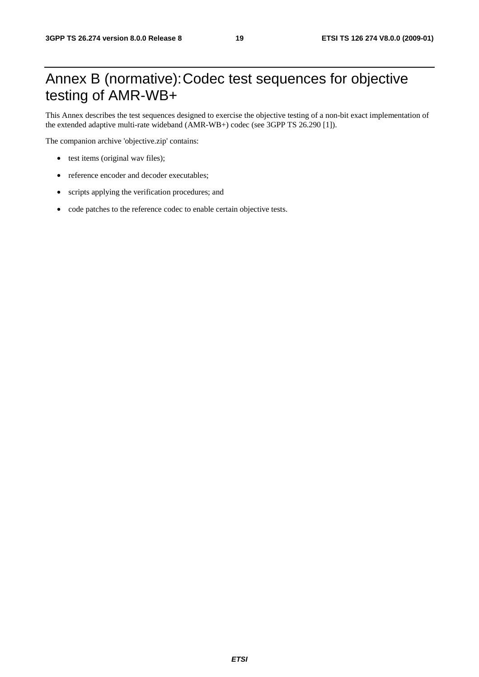## Annex B (normative): Codec test sequences for objective testing of AMR-WB+

This Annex describes the test sequences designed to exercise the objective testing of a non-bit exact implementation of the extended adaptive multi-rate wideband (AMR-WB+) codec (see 3GPP TS 26.290 [1]).

The companion archive 'objective.zip' contains:

- test items (original wav files);
- reference encoder and decoder executables;
- scripts applying the verification procedures; and
- code patches to the reference codec to enable certain objective tests.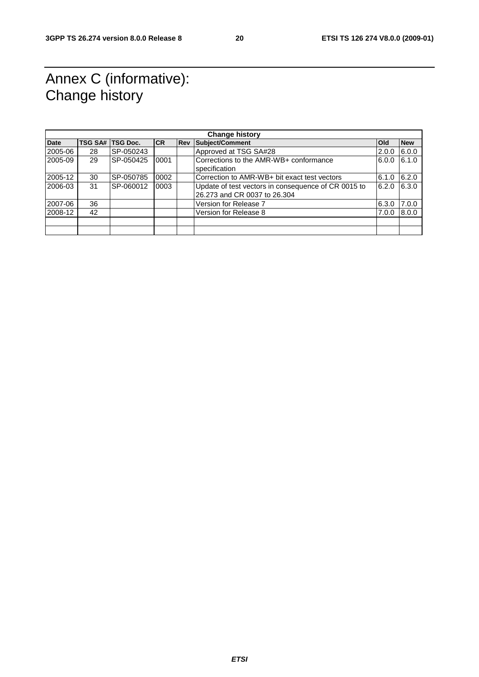## Annex C (informative): Change history

|             |    |                  |           | <b>Change history</b>                               |            |            |
|-------------|----|------------------|-----------|-----------------------------------------------------|------------|------------|
| <b>Date</b> |    | TSG SA# TSG Doc. | <b>CR</b> | <b>Rev Subject/Comment</b>                          | <b>Old</b> | <b>New</b> |
| 2005-06     | 28 | SP-050243        |           | Approved at TSG SA#28                               | 2.0.0      | 6.0.0      |
| 2005-09     | 29 | SP-050425        | 0001      | Corrections to the AMR-WB+ conformance              | 6.0.0      | 6.1.0      |
|             |    |                  |           | specification                                       |            |            |
| 2005-12     | 30 | SP-050785        | 0002      | Correction to AMR-WB+ bit exact test vectors        | 6.1.0      | 6.2.0      |
| 2006-03     | 31 | SP-060012        | 0003      | Update of test vectors in consequence of CR 0015 to | 6.2.0      | 6.3.0      |
|             |    |                  |           | 26.273 and CR 0037 to 26.304                        |            |            |
| 2007-06     | 36 |                  |           | Version for Release 7                               | 6.3.0      | 7.0.0      |
| 2008-12     | 42 |                  |           | Version for Release 8                               | 7.0.0      | 8.0.0      |
|             |    |                  |           |                                                     |            |            |
|             |    |                  |           |                                                     |            |            |